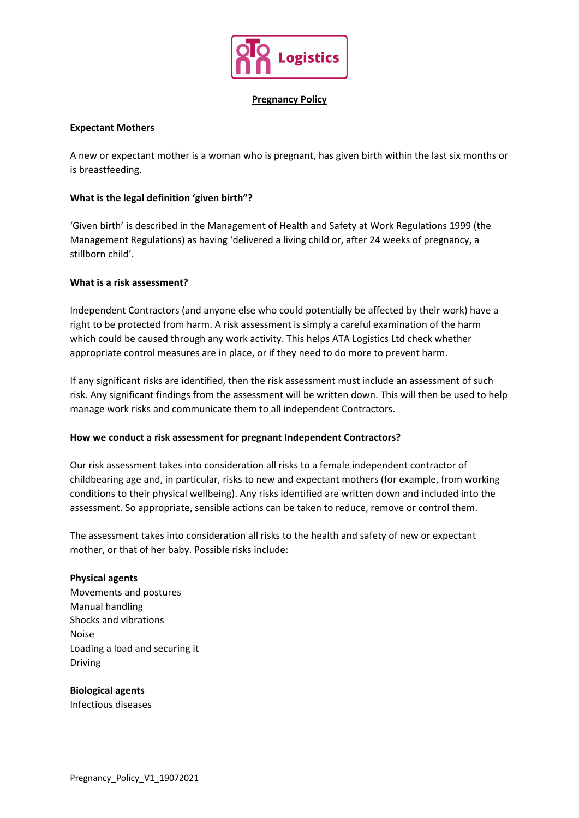

### **Pregnancy Policy**

## **Expectant Mothers**

A new or expectant mother is a woman who is pregnant, has given birth within the last six months or is breastfeeding.

## **What is the legal definition 'given birth"?**

'Given birth' is described in the Management of Health and Safety at Work Regulations 1999 (the Management Regulations) as having 'delivered a living child or, after 24 weeks of pregnancy, a stillborn child'.

## **What is a risk assessment?**

Independent Contractors (and anyone else who could potentially be affected by their work) have a right to be protected from harm. A risk assessment is simply a careful examination of the harm which could be caused through any work activity. This helps ATA Logistics Ltd check whether appropriate control measures are in place, or if they need to do more to prevent harm.

If any significant risks are identified, then the risk assessment must include an assessment of such risk. Any significant findings from the assessment will be written down. This will then be used to help manage work risks and communicate them to all independent Contractors.

#### **How we conduct a risk assessment for pregnant Independent Contractors?**

Our risk assessment takes into consideration all risks to a female independent contractor of childbearing age and, in particular, risks to new and expectant mothers (for example, from working conditions to their physical wellbeing). Any risks identified are written down and included into the assessment. So appropriate, sensible actions can be taken to reduce, remove or control them.

The assessment takes into consideration all risks to the health and safety of new or expectant mother, or that of her baby. Possible risks include:

#### **Physical agents**

Movements and postures Manual handling Shocks and vibrations Noise Loading a load and securing it Driving

# **Biological agents**

Infectious diseases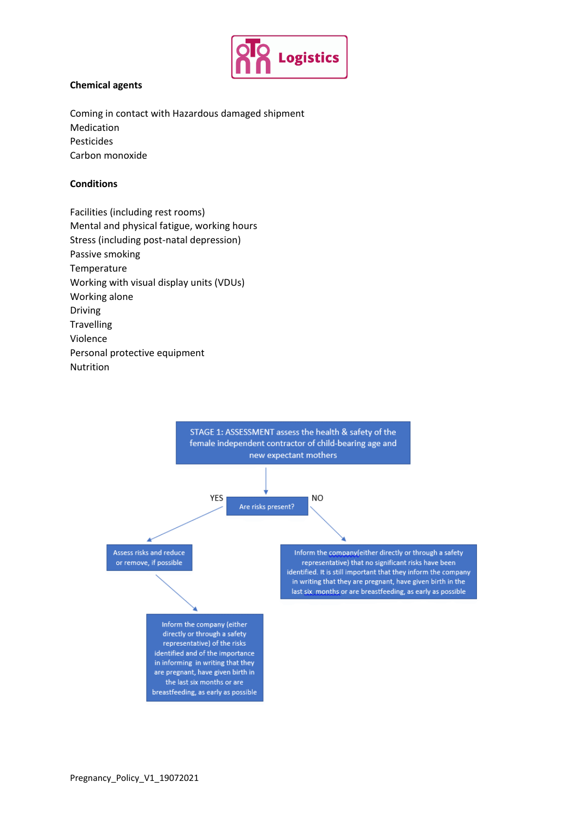

# **Chemical agents**

Coming in contact with Hazardous damaged shipment Medication Pesticides Carbon monoxide

### **Conditions**

Facilities (including rest rooms) Mental and physical fatigue, working hours Stress (including post-natal depression) Passive smoking Temperature Working with visual display units (VDUs) Working alone Driving **Travelling** Violence Personal protective equipment Nutrition